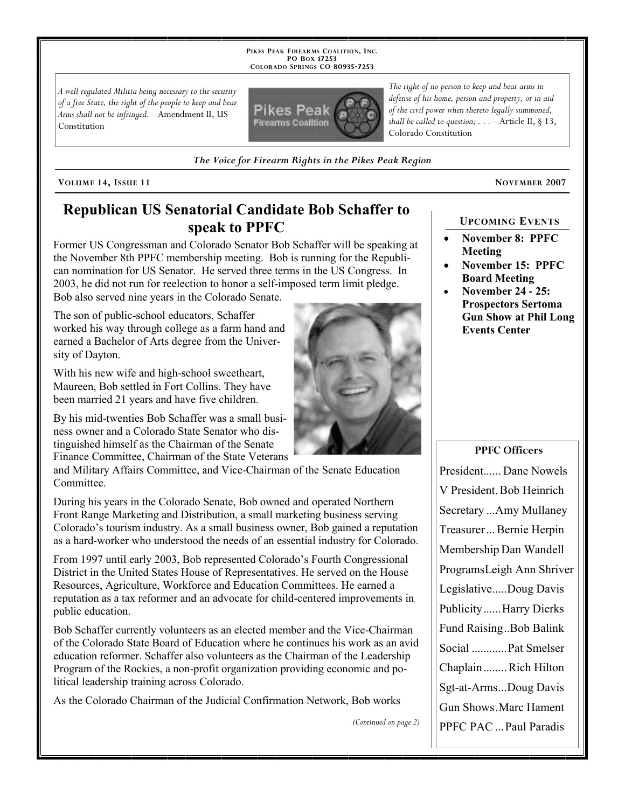PIKES PEAK FIREARMS COALITION, INC. PO Box 17253 COLORADO SPRINGS CO 80935-7253

A well regulated Militia being necessary to the security of a free State, the right of the people to keep and bear Arms shall not be infringed. --Amendment II, US Constitution



The Voice for Firearm Rights in the Pikes Peak Region

VOLUME 14, ISSUE 11 NOVEMBER 2007

#### Republican US Senatorial Candidate Bob Schaffer to speak to PPFC

Former US Congressman and Colorado Senator Bob Schaffer will be speaking at the November 8th PPFC membership meeting. Bob is running for the Republican nomination for US Senator. He served three terms in the US Congress. In 2003, he did not run for reelection to honor a self-imposed term limit pledge. Bob also served nine years in the Colorado Senate.

The son of public-school educators, Schaffer worked his way through college as a farm hand and earned a Bachelor of Arts degree from the University of Dayton.

With his new wife and high-school sweetheart, Maureen, Bob settled in Fort Collins. They have been married 21 years and have five children.

By his mid-twenties Bob Schaffer was a small business owner and a Colorado State Senator who distinguished himself as the Chairman of the Senate Finance Committee, Chairman of the State Veterans

and Military Affairs Committee, and Vice-Chairman of the Senate Education Committee.

During his years in the Colorado Senate, Bob owned and operated Northern Front Range Marketing and Distribution, a small marketing business serving Colorado's tourism industry. As a small business owner, Bob gained a reputation as a hard-worker who understood the needs of an essential industry for Colorado.

From 1997 until early 2003, Bob represented Colorado's Fourth Congressional District in the United States House of Representatives. He served on the House Resources, Agriculture, Workforce and Education Committees. He earned a reputation as a tax reformer and an advocate for child-centered improvements in public education.

Bob Schaffer currently volunteers as an elected member and the Vice-Chairman of the Colorado State Board of Education where he continues his work as an avid education reformer. Schaffer also volunteers as the Chairman of the Leadership Program of the Rockies, a non-profit organization providing economic and political leadership training across Colorado.

As the Colorado Chairman of the Judicial Confirmation Network, Bob works

(Continued on page 2)

#### UPCOMING EVENTS

- November 8: PPFC Meeting
- November 15: PPFC Board Meeting
- November 24 25: Prospectors Sertoma Gun Show at Phil Long Events Center

#### PPFC Officers

President...... Dane Nowels V President Bob Heinrich Secretary ...Amy Mullaney Treasurer ... Bernie Herpin Membership Dan Wandell ProgramsLeigh Ann Shriver Legislative ..... Doug Davis Publicity ...... Harry Dierks Fund Raising ..Bob Balink Social ............ Pat Smelser Chaplain ........ Rich Hilton Sgt-at-Arms ... Doug Davis Gun Shows . Marc Hament PPFC PAC ... Paul Paradis